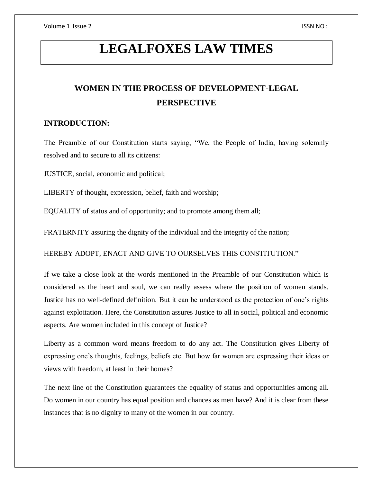# **LEGALFOXES LAW TIMES**

## **WOMEN IN THE PROCESS OF DEVELOPMENT-LEGAL PERSPECTIVE**

#### **INTRODUCTION:**

The Preamble of our Constitution starts saying, "We, the People of India, having solemnly resolved and to secure to all its citizens:

JUSTICE, social, economic and political;

LIBERTY of thought, expression, belief, faith and worship;

EQUALITY of status and of opportunity; and to promote among them all;

FRATERNITY assuring the dignity of the individual and the integrity of the nation;

HEREBY ADOPT, ENACT AND GIVE TO OURSELVES THIS CONSTITUTION."

If we take a close look at the words mentioned in the Preamble of our Constitution which is considered as the heart and soul, we can really assess where the position of women stands. Justice has no well-defined definition. But it can be understood as the protection of one's rights against exploitation. Here, the Constitution assures Justice to all in social, political and economic aspects. Are women included in this concept of Justice?

Liberty as a common word means freedom to do any act. The Constitution gives Liberty of expressing one's thoughts, feelings, beliefs etc. But how far women are expressing their ideas or views with freedom, at least in their homes?

The next line of the Constitution guarantees the equality of status and opportunities among all. Do women in our country has equal position and chances as men have? And it is clear from these instances that is no dignity to many of the women in our country.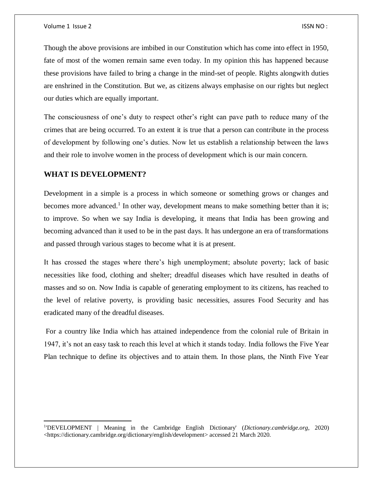Though the above provisions are imbibed in our Constitution which has come into effect in 1950, fate of most of the women remain same even today. In my opinion this has happened because these provisions have failed to bring a change in the mind-set of people. Rights alongwith duties are enshrined in the Constitution. But we, as citizens always emphasise on our rights but neglect our duties which are equally important.

The consciousness of one's duty to respect other's right can pave path to reduce many of the crimes that are being occurred. To an extent it is true that a person can contribute in the process of development by following one's duties. Now let us establish a relationship between the laws and their role to involve women in the process of development which is our main concern.

#### **WHAT IS DEVELOPMENT?**

 $\overline{\phantom{a}}$ 

Development in a simple is a process in which someone or something grows or changes and becomes more advanced.<sup>1</sup> In other way, development means to make something better than it is; to improve. So when we say India is developing, it means that India has been growing and becoming advanced than it used to be in the past days. It has undergone an era of transformations and passed through various stages to become what it is at present.

It has crossed the stages where there's high unemployment; absolute poverty; lack of basic necessities like food, clothing and shelter; dreadful diseases which have resulted in deaths of masses and so on. Now India is capable of generating employment to its citizens, has reached to the level of relative poverty, is providing basic necessities, assures Food Security and has eradicated many of the dreadful diseases.

For a country like India which has attained independence from the colonial rule of Britain in 1947, it's not an easy task to reach this level at which it stands today. India follows the Five Year Plan technique to define its objectives and to attain them. In those plans, the Ninth Five Year

<sup>1</sup> 'DEVELOPMENT | Meaning in the Cambridge English Dictionary' (*Dictionary.cambridge.org*, 2020) <https://dictionary.cambridge.org/dictionary/english/development> accessed 21 March 2020.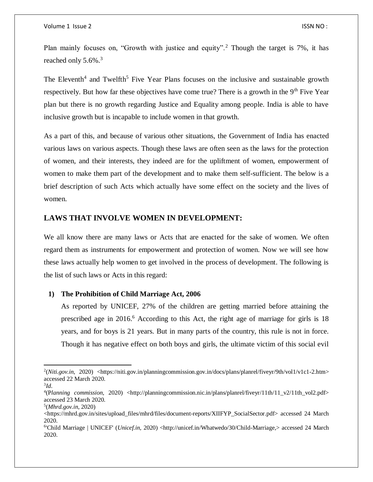Plan mainly focuses on, "Growth with justice and equity".<sup>2</sup> Though the target is 7%, it has reached only 5.6%.<sup>3</sup>

The Eleventh<sup>4</sup> and Twelfth<sup>5</sup> Five Year Plans focuses on the inclusive and sustainable growth respectively. But how far these objectives have come true? There is a growth in the  $9<sup>th</sup>$  Five Year plan but there is no growth regarding Justice and Equality among people. India is able to have inclusive growth but is incapable to include women in that growth.

As a part of this, and because of various other situations, the Government of India has enacted various laws on various aspects. Though these laws are often seen as the laws for the protection of women, and their interests, they indeed are for the upliftment of women, empowerment of women to make them part of the development and to make them self-sufficient. The below is a brief description of such Acts which actually have some effect on the society and the lives of women.

#### **LAWS THAT INVOLVE WOMEN IN DEVELOPMENT:**

We all know there are many laws or Acts that are enacted for the sake of women. We often regard them as instruments for empowerment and protection of women. Now we will see how these laws actually help women to get involved in the process of development. The following is the list of such laws or Acts in this regard:

#### **1) The Prohibition of Child Marriage Act, 2006**

As reported by UNICEF, 27% of the children are getting married before attaining the prescribed age in 2016. <sup>6</sup> According to this Act, the right age of marriage for girls is 18 years, and for boys is 21 years. But in many parts of the country, this rule is not in force. Though it has negative effect on both boys and girls, the ultimate victim of this social evil

 $\overline{a}$ 

<sup>2</sup> (*Niti.gov.in*, 2020) <https://niti.gov.in/planningcommission.gov.in/docs/plans/planrel/fiveyr/9th/vol1/v1c1-2.htm> accessed 22 March 2020.

<sup>3</sup> *Id*.

<sup>4</sup> (P*lanning commission*, 2020) <http://planningcommission.nic.in/plans/planrel/fiveyr/11th/11\_v2/11th\_vol2.pdf> accessed 23 March 2020.

<sup>5</sup> (*Mhrd.gov.in*, 2020)

<sup>&</sup>lt;https://mhrd.gov.in/sites/upload\_files/mhrd/files/document-reports/XIIFYP\_SocialSector.pdf> accessed 24 March 2020.

<sup>&</sup>lt;sup>6</sup>'Child Marriage | UNICEF' (*Unicef.in*, 2020) <http://unicef.in/Whatwedo/30/Child-Marriage,> accessed 24 March 2020.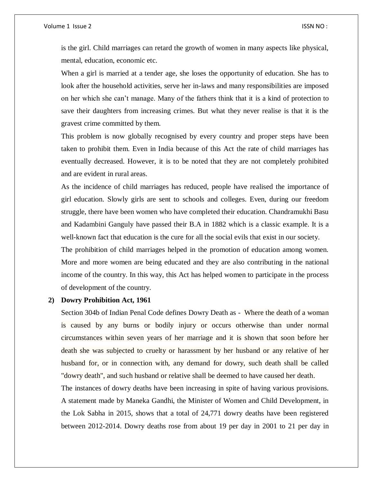is the girl. Child marriages can retard the growth of women in many aspects like physical, mental, education, economic etc.

When a girl is married at a tender age, she loses the opportunity of education. She has to look after the household activities, serve her in-laws and many responsibilities are imposed on her which she can't manage. Many of the fathers think that it is a kind of protection to save their daughters from increasing crimes. But what they never realise is that it is the gravest crime committed by them.

This problem is now globally recognised by every country and proper steps have been taken to prohibit them. Even in India because of this Act the rate of child marriages has eventually decreased. However, it is to be noted that they are not completely prohibited and are evident in rural areas.

As the incidence of child marriages has reduced, people have realised the importance of girl education. Slowly girls are sent to schools and colleges. Even, during our freedom struggle, there have been women who have completed their education. Chandramukhi Basu and Kadambini Ganguly have passed their B.A in 1882 which is a classic example. It is a well-known fact that education is the cure for all the social evils that exist in our society.

The prohibition of child marriages helped in the promotion of education among women. More and more women are being educated and they are also contributing in the national income of the country. In this way, this Act has helped women to participate in the process of development of the country.

#### **2) Dowry Prohibition Act, 1961**

Section 304b of Indian Penal Code defines Dowry Death as - Where the death of a woman is caused by any burns or bodily injury or occurs otherwise than under normal circumstances within seven years of her marriage and it is shown that soon before her death she was subjected to cruelty or harassment by her husband or any relative of her husband for, or in connection with, any demand for dowry, such death shall be called "dowry death", and such husband or relative shall be deemed to have caused her death.

The instances of dowry deaths have been increasing in spite of having various provisions. A statement made by Maneka Gandhi, the Minister of Women and Child Development, in the Lok Sabha in 2015, shows that a total of 24,771 dowry deaths have been registered between 2012-2014. Dowry deaths rose from about 19 per day in 2001 to 21 per day in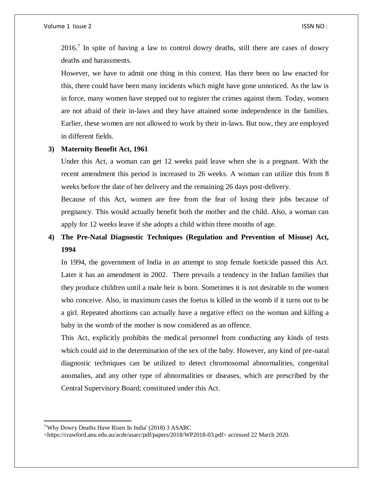$2016<sup>7</sup>$  In spite of having a law to control dowry deaths, still there are cases of dowry deaths and harassments.

However, we have to admit one thing in this context. Has there been no law enacted for this, there could have been many incidents which might have gone unnoticed. As the law is in force, many women have stepped out to register the crimes against them. Today, women are not afraid of their in-laws and they have attained some independence in the families. Earlier, these women are not allowed to work by their in-laws. But now, they are employed in different fields.

#### **3) Maternity Benefit Act, 1961**

Under this Act, a woman can get 12 weeks paid leave when she is a pregnant. With the recent amendment this period is increased to 26 weeks. A woman can utilize this from 8 weeks before the date of her delivery and the remaining 26 days post-delivery.

Because of this Act, women are free from the fear of losing their jobs because of pregnancy. This would actually benefit both the mother and the child. Also, a woman can apply for 12 weeks leave if she adopts a child within three months of age.

## **4) The Pre-Natal Diagnostic Techniques (Regulation and Prevention of Misuse) Act, 1994**

In 1994, the government of India in an attempt to stop female foeticide passed this Act. Later it has an amendment in 2002. There prevails a tendency in the Indian families that they produce children until a male heir is born. Sometimes it is not desirable to the women who conceive. Also, in maximum cases the foetus is killed in the womb if it turns out to be a girl. Repeated abortions can actually have a negative effect on the woman and killing a baby in the womb of the mother is now considered as an offence.

This Act, explicitly prohibits the medical personnel from conducting any kinds of tests which could aid in the determination of the sex of the baby. However, any kind of pre-natal diagnostic techniques can be utilized to detect chromosomal abnormalities, congenital anomalies, and any other type of abnormalities or diseases, which are prescribed by the Central Supervisory Board; constituted under this Act.

 $\overline{\phantom{a}}$ 

<sup>7</sup> 'Why Dowry Deaths Have Risen In India' (2018) 3 ASARC

<sup>&</sup>lt;https://crawford.anu.edu.au/acde/asarc/pdf/papers/2018/WP2018-03.pdf> accessed 22 March 2020.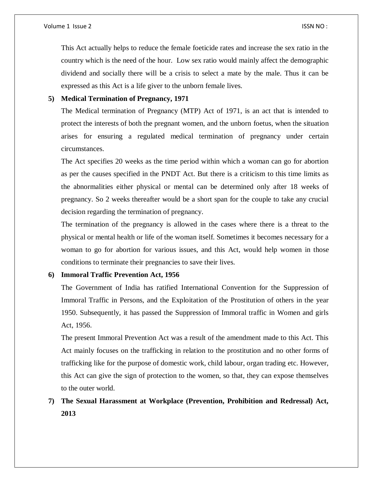This Act actually helps to reduce the female foeticide rates and increase the sex ratio in the country which is the need of the hour. Low sex ratio would mainly affect the demographic dividend and socially there will be a crisis to select a mate by the male. Thus it can be expressed as this Act is a life giver to the unborn female lives.

#### **5) Medical Termination of Pregnancy, 1971**

The Medical termination of Pregnancy (MTP) Act of 1971, is an act that is intended to protect the interests of both the pregnant women, and the unborn foetus, when the situation arises for ensuring a regulated medical termination of pregnancy under certain circumstances.

The Act specifies 20 weeks as the time period within which a woman can go for abortion as per the causes specified in the PNDT Act. But there is a criticism to this time limits as the abnormalities either physical or mental can be determined only after 18 weeks of pregnancy. So 2 weeks thereafter would be a short span for the couple to take any crucial decision regarding the termination of pregnancy.

The termination of the pregnancy is allowed in the cases where there is a threat to the physical or mental health or life of the woman itself. Sometimes it becomes necessary for a woman to go for abortion for various issues, and this Act, would help women in those conditions to terminate their pregnancies to save their lives.

#### **6) Immoral Traffic Prevention Act, 1956**

The Government of India has ratified International Convention for the Suppression of Immoral Traffic in Persons, and the Exploitation of the Prostitution of others in the year 1950. Subsequently, it has passed the Suppression of Immoral traffic in Women and girls Act, 1956.

The present Immoral Prevention Act was a result of the amendment made to this Act. This Act mainly focuses on the trafficking in relation to the prostitution and no other forms of trafficking like for the purpose of domestic work, child labour, organ trading etc. However, this Act can give the sign of protection to the women, so that, they can expose themselves to the outer world.

### **7) The Sexual Harassment at Workplace (Prevention, Prohibition and Redressal) Act, 2013**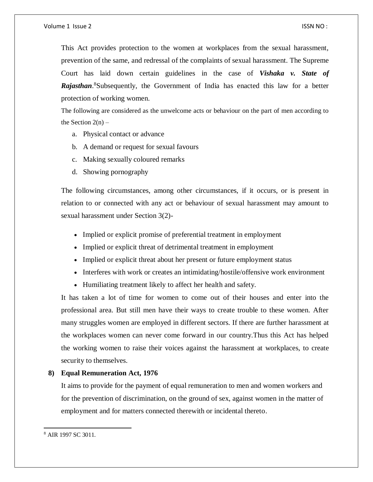This Act provides protection to the women at workplaces from the sexual harassment, prevention of the same, and redressal of the complaints of sexual harassment. The Supreme Court has laid down certain guidelines in the case of *Vishaka v. State of Rajasthan*. <sup>8</sup>Subsequently, the Government of India has enacted this law for a better protection of working women.

The following are considered as the unwelcome acts or behaviour on the part of men according to the Section  $2(n)$  –

- a. Physical contact or advance
- b. A demand or request for sexual favours
- c. Making sexually coloured remarks
- d. Showing pornography

The following circumstances, among other circumstances, if it occurs, or is present in relation to or connected with any act or behaviour of sexual harassment may amount to sexual harassment under Section 3(2)-

- Implied or explicit promise of preferential treatment in employment
- Implied or explicit threat of detrimental treatment in employment
- Implied or explicit threat about her present or future employment status
- Interferes with work or creates an intimidating/hostile/offensive work environment
- Humiliating treatment likely to affect her health and safety.

It has taken a lot of time for women to come out of their houses and enter into the professional area. But still men have their ways to create trouble to these women. After many struggles women are employed in different sectors. If there are further harassment at the workplaces women can never come forward in our country.Thus this Act has helped the working women to raise their voices against the harassment at workplaces, to create security to themselves.

#### **8) Equal Remuneration Act, 1976**

It aims to provide for the payment of equal remuneration to men and women workers and for the prevention of discrimination, on the ground of sex, against women in the matter of employment and for matters connected therewith or incidental thereto.

 $\overline{a}$ 

<sup>8</sup> AIR 1997 SC 3011.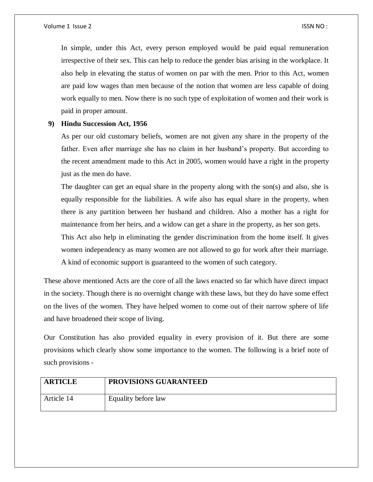In simple, under this Act, every person employed would be paid equal remuneration irrespective of their sex. This can help to reduce the gender bias arising in the workplace. It also help in elevating the status of women on par with the men. Prior to this Act, women are paid low wages than men because of the notion that women are less capable of doing work equally to men. Now there is no such type of exploitation of women and their work is paid in proper amount.

#### **9) Hindu Succession Act, 1956**

As per our old customary beliefs, women are not given any share in the property of the father. Even after marriage she has no claim in her husband's property. But according to the recent amendment made to this Act in 2005, women would have a right in the property just as the men do have.

The daughter can get an equal share in the property along with the son(s) and also, she is equally responsible for the liabilities. A wife also has equal share in the property, when there is any partition between her husband and children. Also a mother has a right for maintenance from her heirs, and a widow can get a share in the property, as her son gets.

This Act also help in eliminating the gender discrimination from the home itself. It gives women independency as many women are not allowed to go for work after their marriage. A kind of economic support is guaranteed to the women of such category.

These above mentioned Acts are the core of all the laws enacted so far which have direct impact in the society. Though there is no overnight change with these laws, but they do have some effect on the lives of the women. They have helped women to come out of their narrow sphere of life and have broadened their scope of living.

Our Constitution has also provided equality in every provision of it. But there are some provisions which clearly show some importance to the women. The following is a brief note of such provisions -

| <b>ARTICLE</b> | <b>PROVISIONS GUARANTEED</b> |
|----------------|------------------------------|
| Article 14     | Equality before law          |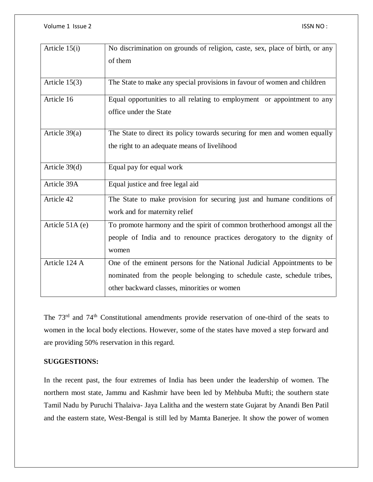| Article 15(i)   | No discrimination on grounds of religion, caste, sex, place of birth, or any |
|-----------------|------------------------------------------------------------------------------|
|                 | of them                                                                      |
| Article $15(3)$ | The State to make any special provisions in favour of women and children     |
| Article 16      | Equal opportunities to all relating to employment or appointment to any      |
|                 | office under the State                                                       |
| Article $39(a)$ | The State to direct its policy towards securing for men and women equally    |
|                 | the right to an adequate means of livelihood                                 |
|                 |                                                                              |
| Article 39(d)   | Equal pay for equal work                                                     |
| Article 39A     | Equal justice and free legal aid                                             |
| Article 42      | The State to make provision for securing just and humane conditions of       |
|                 | work and for maternity relief                                                |
| Article 51A (e) | To promote harmony and the spirit of common brotherhood amongst all the      |
|                 | people of India and to renounce practices derogatory to the dignity of       |
|                 | women                                                                        |
| Article 124 A   | One of the eminent persons for the National Judicial Appointments to be      |
|                 | nominated from the people belonging to schedule caste, schedule tribes,      |
|                 | other backward classes, minorities or women                                  |

The 73<sup>rd</sup> and 74<sup>th</sup> Constitutional amendments provide reservation of one-third of the seats to women in the local body elections. However, some of the states have moved a step forward and are providing 50% reservation in this regard.

#### **SUGGESTIONS:**

In the recent past, the four extremes of India has been under the leadership of women. The northern most state, Jammu and Kashmir have been led by Mehbuba Mufti; the southern state Tamil Nadu by Puruchi Thalaiva- Jaya Lalitha and the western state Gujarat by Anandi Ben Patil and the eastern state, West-Bengal is still led by Mamta Banerjee. It show the power of women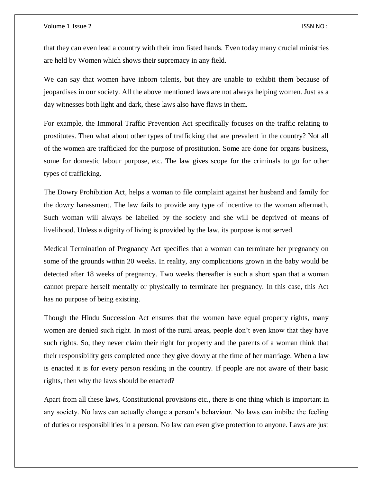that they can even lead a country with their iron fisted hands. Even today many crucial ministries are held by Women which shows their supremacy in any field.

We can say that women have inborn talents, but they are unable to exhibit them because of jeopardises in our society. All the above mentioned laws are not always helping women. Just as a day witnesses both light and dark, these laws also have flaws in them.

For example, the Immoral Traffic Prevention Act specifically focuses on the traffic relating to prostitutes. Then what about other types of trafficking that are prevalent in the country? Not all of the women are trafficked for the purpose of prostitution. Some are done for organs business, some for domestic labour purpose, etc. The law gives scope for the criminals to go for other types of trafficking.

The Dowry Prohibition Act, helps a woman to file complaint against her husband and family for the dowry harassment. The law fails to provide any type of incentive to the woman aftermath. Such woman will always be labelled by the society and she will be deprived of means of livelihood. Unless a dignity of living is provided by the law, its purpose is not served.

Medical Termination of Pregnancy Act specifies that a woman can terminate her pregnancy on some of the grounds within 20 weeks. In reality, any complications grown in the baby would be detected after 18 weeks of pregnancy. Two weeks thereafter is such a short span that a woman cannot prepare herself mentally or physically to terminate her pregnancy. In this case, this Act has no purpose of being existing.

Though the Hindu Succession Act ensures that the women have equal property rights, many women are denied such right. In most of the rural areas, people don't even know that they have such rights. So, they never claim their right for property and the parents of a woman think that their responsibility gets completed once they give dowry at the time of her marriage. When a law is enacted it is for every person residing in the country. If people are not aware of their basic rights, then why the laws should be enacted?

Apart from all these laws, Constitutional provisions etc., there is one thing which is important in any society. No laws can actually change a person's behaviour. No laws can imbibe the feeling of duties or responsibilities in a person. No law can even give protection to anyone. Laws are just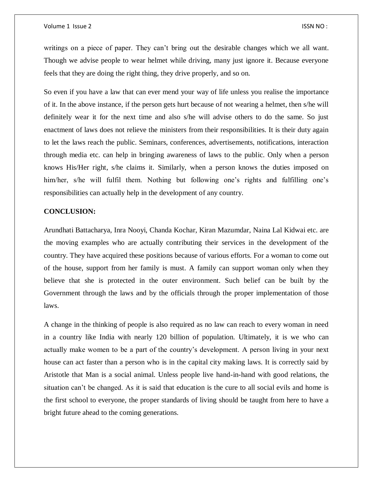writings on a piece of paper. They can't bring out the desirable changes which we all want. Though we advise people to wear helmet while driving, many just ignore it. Because everyone feels that they are doing the right thing, they drive properly, and so on.

So even if you have a law that can ever mend your way of life unless you realise the importance of it. In the above instance, if the person gets hurt because of not wearing a helmet, then s/he will definitely wear it for the next time and also s/he will advise others to do the same. So just enactment of laws does not relieve the ministers from their responsibilities. It is their duty again to let the laws reach the public. Seminars, conferences, advertisements, notifications, interaction through media etc. can help in bringing awareness of laws to the public. Only when a person knows His/Her right, s/he claims it. Similarly, when a person knows the duties imposed on him/her, s/he will fulfil them. Nothing but following one's rights and fulfilling one's responsibilities can actually help in the development of any country.

#### **CONCLUSION:**

Arundhati Battacharya, Inra Nooyi, Chanda Kochar, Kiran Mazumdar, Naina Lal Kidwai etc. are the moving examples who are actually contributing their services in the development of the country. They have acquired these positions because of various efforts. For a woman to come out of the house, support from her family is must. A family can support woman only when they believe that she is protected in the outer environment. Such belief can be built by the Government through the laws and by the officials through the proper implementation of those laws.

A change in the thinking of people is also required as no law can reach to every woman in need in a country like India with nearly 120 billion of population. Ultimately, it is we who can actually make women to be a part of the country's development. A person living in your next house can act faster than a person who is in the capital city making laws. It is correctly said by Aristotle that Man is a social animal. Unless people live hand-in-hand with good relations, the situation can't be changed. As it is said that education is the cure to all social evils and home is the first school to everyone, the proper standards of living should be taught from here to have a bright future ahead to the coming generations.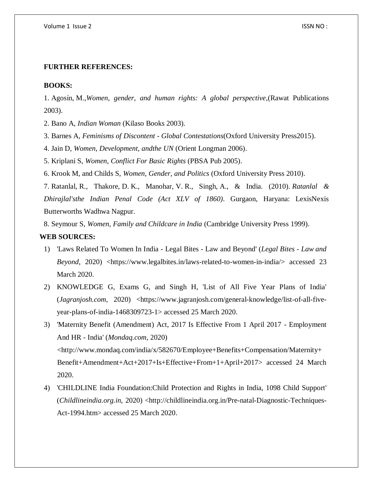#### **FURTHER REFERENCES:**

#### **BOOKS:**

1. Agosin, M., *Women, gender, and human rights: A global perspective*, (Rawat Publications 2003).

- 2. Bano A, *Indian Woman* (Kilaso Books 2003).
- 3. Barnes A, *Feminisms of Discontent - Global Contestations*(Oxford University Press2015).
- 4. Jain D, *Women, Development, andthe UN* (Orient Longman 2006).

5. Kriplani S, *Women, Conflict For Basic Rights* (PBSA Pub 2005).

6. Krook M, and Childs S, *Women, Gender, and Politics* (Oxford University Press 2010).

7. Ratanlal, R., Thakore, D. K., Manohar, V. R., Singh, A., & India. (2010). *Ratanlal & Dhirajlal'sthe Indian Penal Code (Act XLV of 1860)*. Gurgaon, Haryana: LexisNexis Butterworths Wadhwa Nagpur.

8. Seymour S, *Women, Family and Childcare in India* (Cambridge University Press 1999).

#### **WEB SOURCES:**

- 1) 'Laws Related To Women In India Legal Bites Law and Beyond' (*Legal Bites - Law and Beyond*, 2020) <https://www.legalbites.in/laws-related-to-women-in-india/> accessed 23 March 2020.
- 2) KNOWLEDGE G, Exams G, and Singh H, 'List of All Five Year Plans of India' (*Jagranjosh.com*, 2020) <https://www.jagranjosh.com/general-knowledge/list-of-all-fiveyear-plans-of-india-1468309723-1> accessed 25 March 2020.
- 3) 'Maternity Benefit (Amendment) Act, 2017 Is Effective From 1 April 2017 Employment And HR - India' (*Mondaq.com*, 2020) <http://www.mondaq.com/india/x/582670/Employee+Benefits+Compensation/Maternity+ Benefit+Amendment+Act+2017+Is+Effective+From+1+April+2017> accessed 24 March 2020.
- 4) 'CHILDLINE India Foundation:Child Protection and Rights in India, 1098 Child Support' (*Childlineindia.org.in*, 2020) <http://childlineindia.org.in/Pre-natal-Diagnostic-Techniques-Act-1994.htm> accessed 25 March 2020.